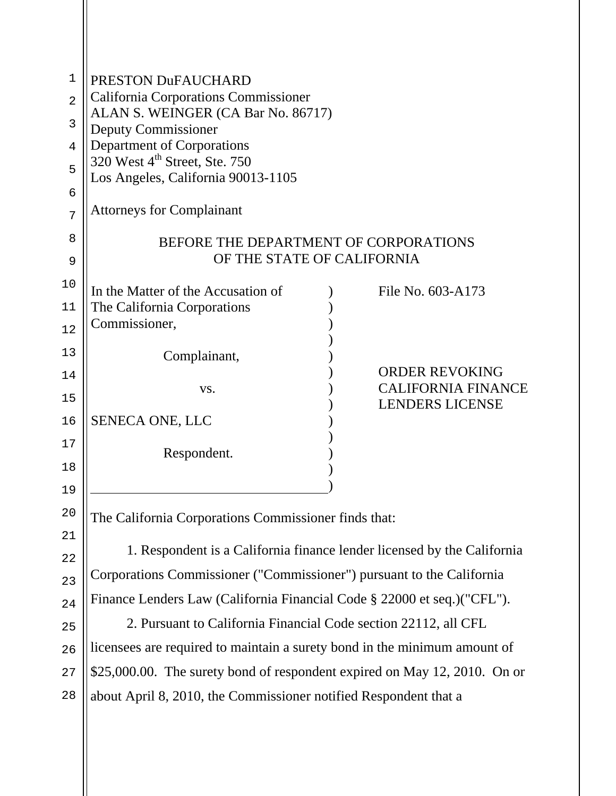| 1  | PRESTON DuFAUCHARD                                                        |  |                           |
|----|---------------------------------------------------------------------------|--|---------------------------|
| 2  | <b>California Corporations Commissioner</b>                               |  |                           |
| 3  | ALAN S. WEINGER (CA Bar No. 86717)                                        |  |                           |
| 4  | <b>Deputy Commissioner</b><br><b>Department of Corporations</b>           |  |                           |
| 5  | 320 West 4 <sup>th</sup> Street, Ste. 750                                 |  |                           |
| 6  | Los Angeles, California 90013-1105                                        |  |                           |
| 7  | <b>Attorneys for Complainant</b>                                          |  |                           |
| 8  | BEFORE THE DEPARTMENT OF CORPORATIONS                                     |  |                           |
| 9  | OF THE STATE OF CALIFORNIA                                                |  |                           |
| 10 | In the Matter of the Accusation of                                        |  | File No. 603-A173         |
| 11 | The California Corporations                                               |  |                           |
| 12 | Commissioner,                                                             |  |                           |
| 13 |                                                                           |  |                           |
| 14 | Complainant,                                                              |  | <b>ORDER REVOKING</b>     |
| 15 | VS.                                                                       |  | <b>CALIFORNIA FINANCE</b> |
|    |                                                                           |  | <b>LENDERS LICENSE</b>    |
| 16 | SENECA ONE, LLC                                                           |  |                           |
| 17 | Respondent.                                                               |  |                           |
| 18 |                                                                           |  |                           |
| 19 |                                                                           |  |                           |
| 20 | The California Corporations Commissioner finds that:                      |  |                           |
| 21 |                                                                           |  |                           |
| 22 | 1. Respondent is a California finance lender licensed by the California   |  |                           |
| 23 | Corporations Commissioner ("Commissioner") pursuant to the California     |  |                           |
| 24 | Finance Lenders Law (California Financial Code § 22000 et seq.)("CFL").   |  |                           |
| 25 | 2. Pursuant to California Financial Code section 22112, all CFL           |  |                           |
| 26 | licensees are required to maintain a surety bond in the minimum amount of |  |                           |
| 27 | \$25,000.00. The surety bond of respondent expired on May 12, 2010. On or |  |                           |
|    |                                                                           |  |                           |

28 about April 8, 2010, the Commissioner notified Respondent that a